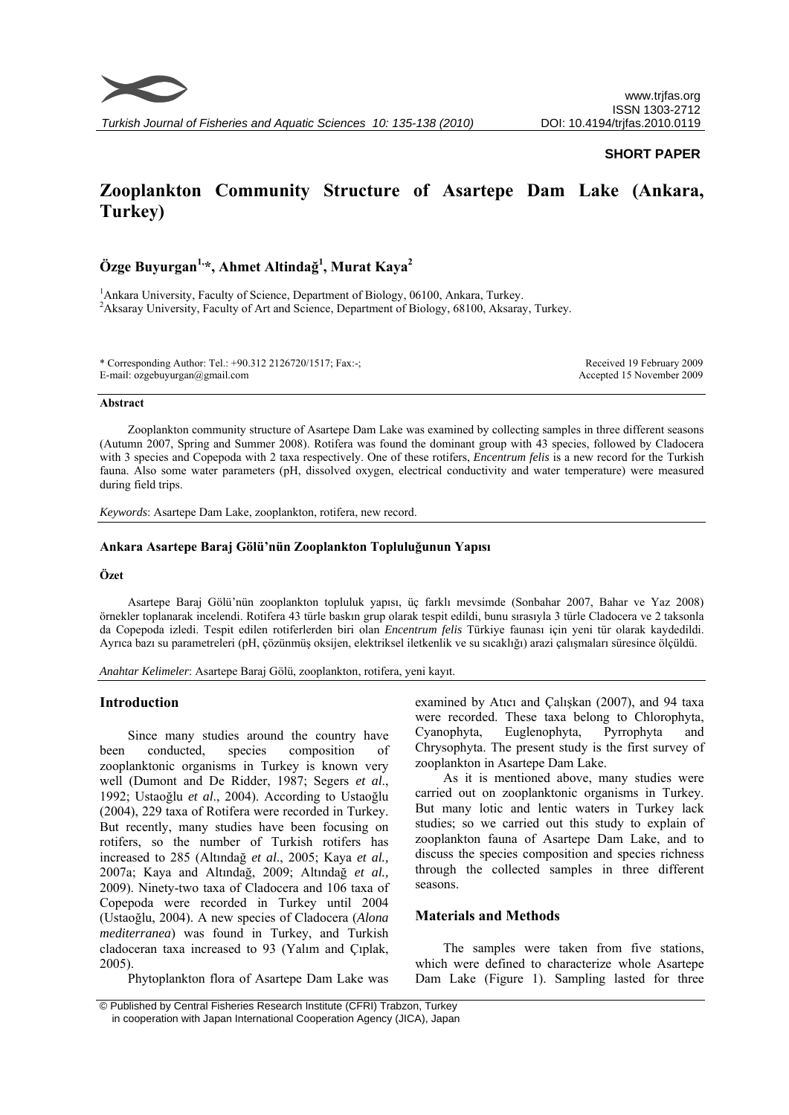

### **SHORT PAPER**

# **Zooplankton Community Structure of Asartepe Dam Lake (Ankara, Turkey)**

## **Özge Buyurgan1,\*, Ahmet Altindağ<sup>1</sup> , Murat Kaya2**

<sup>1</sup> Ankara University, Faculty of Science, Department of Biology, 06100, Ankara, Turkey. <sup>2</sup> Aksaray University, Faculty of Art and Science, Department of Biology, 68100, Aksaray, Turkey.

\* Corresponding Author: Tel.: +90.312 2126720/1517; Fax:-; E-mail: ozgebuyurgan@gmail.com

Received 19 February 2009 Accepted 15 November 2009

#### **Abstract**

Zooplankton community structure of Asartepe Dam Lake was examined by collecting samples in three different seasons (Autumn 2007, Spring and Summer 2008). Rotifera was found the dominant group with 43 species, followed by Cladocera with 3 species and Copepoda with 2 taxa respectively. One of these rotifers, *Encentrum felis* is a new record for the Turkish fauna. Also some water parameters (pH, dissolved oxygen, electrical conductivity and water temperature) were measured during field trips.

*Keywords*: Asartepe Dam Lake, zooplankton, rotifera, new record.

#### **Ankara Asartepe Baraj Gölü'nün Zooplankton Topluluğunun Yapısı**

### **Özet**

Asartepe Baraj Gölü'nün zooplankton topluluk yapısı, üç farklı mevsimde (Sonbahar 2007, Bahar ve Yaz 2008) örnekler toplanarak incelendi. Rotifera 43 türle baskın grup olarak tespit edildi, bunu sırasıyla 3 türle Cladocera ve 2 taksonla da Copepoda izledi. Tespit edilen rotiferlerden biri olan *Encentrum felis* Türkiye faunası için yeni tür olarak kaydedildi. Ayrıca bazı su parametreleri (pH, çözünmüş oksijen, elektriksel iletkenlik ve su sıcaklığı) arazi çalışmaları süresince ölçüldü.

*Anahtar Kelimeler*: Asartepe Baraj Gölü, zooplankton, rotifera, yeni kayıt.

#### **Introduction**

Since many studies around the country have been conducted, species composition of zooplanktonic organisms in Turkey is known very well (Dumont and De Ridder, 1987; Segers *et al*., 1992; Ustaoğlu *et al*., 2004). According to Ustaoğlu (2004), 229 taxa of Rotifera were recorded in Turkey. But recently, many studies have been focusing on rotifers, so the number of Turkish rotifers has increased to 285 (Altındağ *et al*., 2005; Kaya *et al.,* 2007a; Kaya and Altındağ, 2009; Altındağ *et al.,* 2009). Ninety-two taxa of Cladocera and 106 taxa of Copepoda were recorded in Turkey until 2004 (Ustaoğlu, 2004). A new species of Cladocera (*Alona mediterranea*) was found in Turkey, and Turkish cladoceran taxa increased to 93 (Yalım and Çıplak, 2005).

Phytoplankton flora of Asartepe Dam Lake was

examined by Atıcı and Çalışkan (2007), and 94 taxa were recorded. These taxa belong to Chlorophyta, Cyanophyta, Euglenophyta, Pyrrophyta and Chrysophyta. The present study is the first survey of zooplankton in Asartepe Dam Lake.

As it is mentioned above, many studies were carried out on zooplanktonic organisms in Turkey. But many lotic and lentic waters in Turkey lack studies; so we carried out this study to explain of zooplankton fauna of Asartepe Dam Lake, and to discuss the species composition and species richness through the collected samples in three different seasons.

#### **Materials and Methods**

The samples were taken from five stations, which were defined to characterize whole Asartepe Dam Lake (Figure 1). Sampling lasted for three

 <sup>©</sup> Published by Central Fisheries Research Institute (CFRI) Trabzon, Turkey in cooperation with Japan International Cooperation Agency (JICA), Japan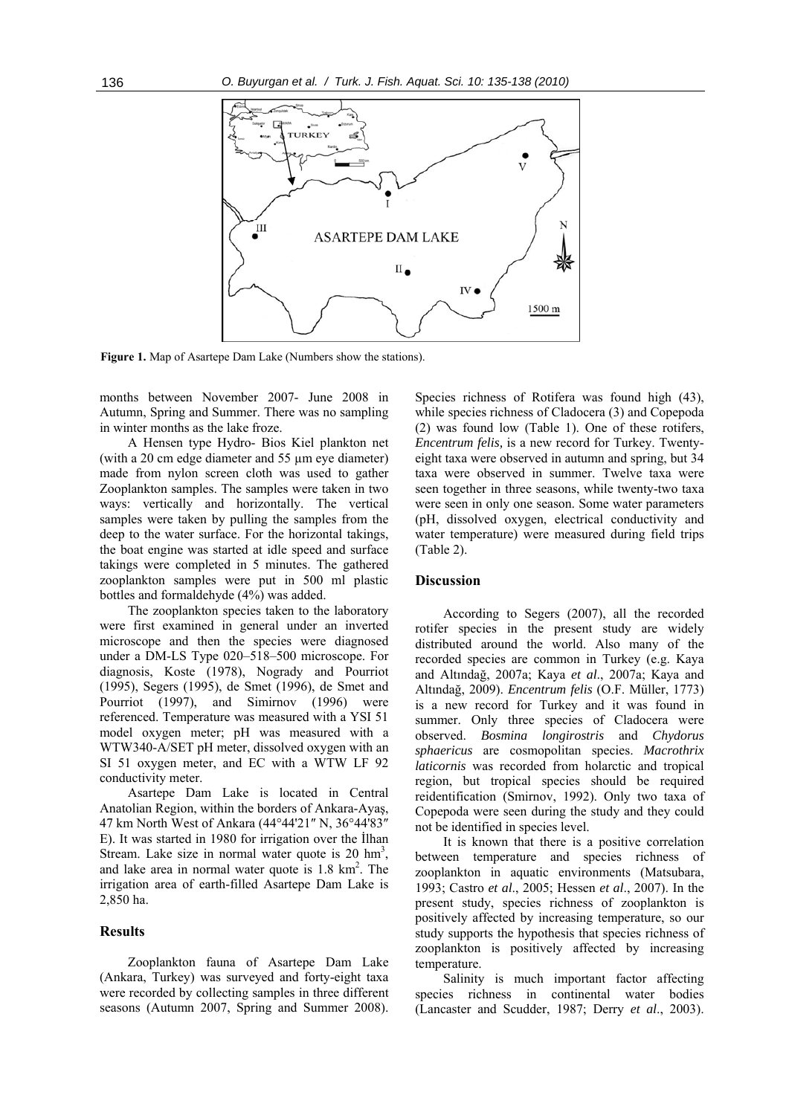

**Figure 1.** Map of Asartepe Dam Lake (Numbers show the stations).

months between November 2007- June 2008 in Autumn, Spring and Summer. There was no sampling in winter months as the lake froze.

A Hensen type Hydro- Bios Kiel plankton net (with a 20 cm edge diameter and 55 µm eye diameter) made from nylon screen cloth was used to gather Zooplankton samples. The samples were taken in two ways: vertically and horizontally. The vertical samples were taken by pulling the samples from the deep to the water surface. For the horizontal takings, the boat engine was started at idle speed and surface takings were completed in 5 minutes. The gathered zooplankton samples were put in 500 ml plastic bottles and formaldehyde (4%) was added.

The zooplankton species taken to the laboratory were first examined in general under an inverted microscope and then the species were diagnosed under a DM-LS Type 020–518–500 microscope. For diagnosis, Koste (1978), Nogrady and Pourriot (1995), Segers (1995), de Smet (1996), de Smet and Pourriot (1997), and Simirnov (1996) were referenced. Temperature was measured with a YSI 51 model oxygen meter; pH was measured with a WTW340-A/SET pH meter, dissolved oxygen with an SI 51 oxygen meter, and EC with a WTW LF 92 conductivity meter.

Asartepe Dam Lake is located in Central Anatolian Region, within the borders of Ankara-Ayaş, 47 km North West of Ankara (44°44'21″ N, 36°44'83″ E). It was started in 1980 for irrigation over the İlhan Stream. Lake size in normal water quote is  $20 \text{ hm}^3$ , and lake area in normal water quote is  $1.8 \text{ km}^2$ . The irrigation area of earth-filled Asartepe Dam Lake is 2,850 ha.

#### **Results**

Zooplankton fauna of Asartepe Dam Lake (Ankara, Turkey) was surveyed and forty-eight taxa were recorded by collecting samples in three different seasons (Autumn 2007, Spring and Summer 2008).

Species richness of Rotifera was found high  $(43)$ , while species richness of Cladocera (3) and Copepoda (2) was found low (Table 1). One of these rotifers, *Encentrum felis,* is a new record for Turkey. Twentyeight taxa were observed in autumn and spring, but 34 taxa were observed in summer. Twelve taxa were seen together in three seasons, while twenty-two taxa were seen in only one season. Some water parameters (pH, dissolved oxygen, electrical conductivity and water temperature) were measured during field trips (Table 2).

#### **Discussion**

According to Segers (2007), all the recorded rotifer species in the present study are widely distributed around the world. Also many of the recorded species are common in Turkey (e.g. Kaya and Altındağ, 2007a; Kaya *et al*., 2007a; Kaya and Altındağ, 2009). *Encentrum felis* (O.F. Müller, 1773) is a new record for Turkey and it was found in summer. Only three species of Cladocera were observed. *Bosmina longirostris* and *Chydorus sphaericus* are cosmopolitan species. *Macrothrix laticornis* was recorded from holarctic and tropical region, but tropical species should be required reidentification (Smirnov, 1992). Only two taxa of Copepoda were seen during the study and they could not be identified in species level.

It is known that there is a positive correlation between temperature and species richness of zooplankton in aquatic environments (Matsubara, 1993; Castro *et al*., 2005; Hessen *et al*., 2007). In the present study, species richness of zooplankton is positively affected by increasing temperature, so our study supports the hypothesis that species richness of zooplankton is positively affected by increasing temperature.

Salinity is much important factor affecting species richness in continental water bodies (Lancaster and Scudder, 1987; Derry *et al*., 2003).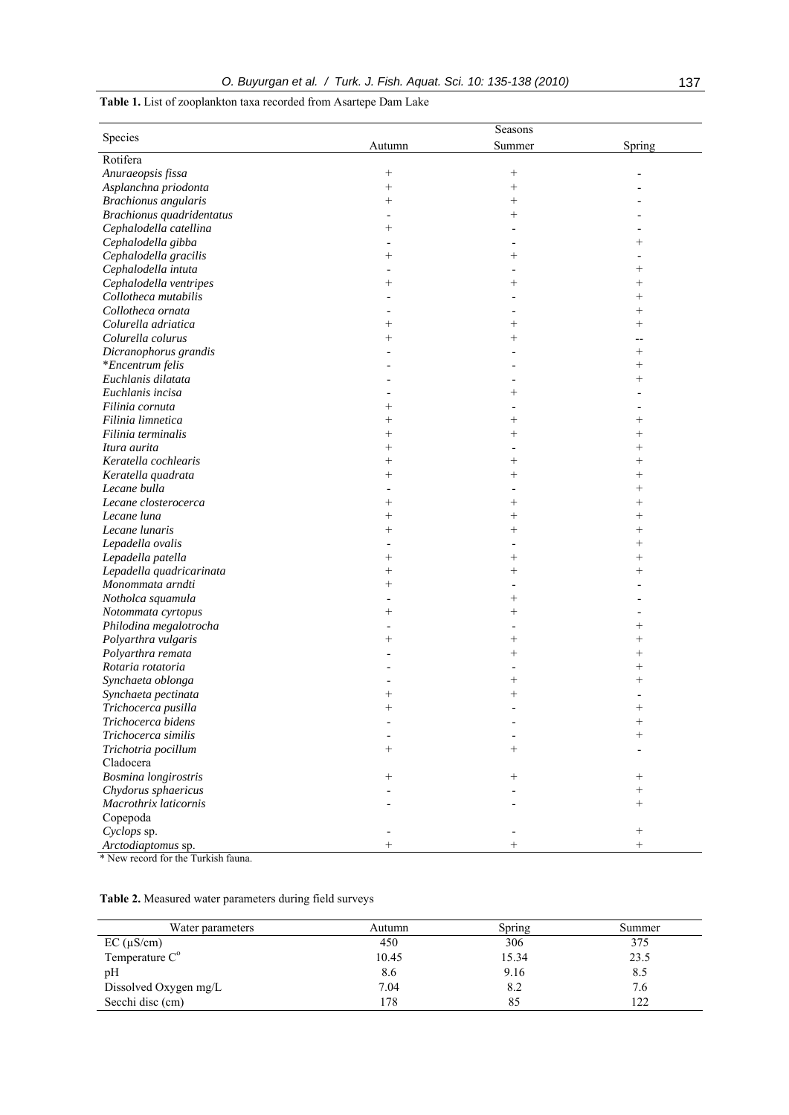## **Table 1.** List of zooplankton taxa recorded from Asartepe Dam Lake

|                             | Seasons            |                    |         |  |  |
|-----------------------------|--------------------|--------------------|---------|--|--|
| Species                     | Autumn             | Summer             | Spring  |  |  |
| Rotifera                    |                    |                    |         |  |  |
| Anuraeopsis fissa           | $^{+}$             | $\! + \!\!\!\!$    |         |  |  |
| Asplanchna priodonta        | $\! + \!\!\!\!$    | $\! + \!\!\!\!$    |         |  |  |
| <b>Brachionus</b> angularis | $^{+}$             | $^{+}$             |         |  |  |
| Brachionus quadridentatus   |                    | $^{+}$             |         |  |  |
| Cephalodella catellina      | $\hspace{0.1mm} +$ |                    |         |  |  |
| Cephalodella gibba          |                    |                    | $^+$    |  |  |
| Cephalodella gracilis       | $\,{}^{+}\,$       | $^{+}$             |         |  |  |
| Cephalodella intuta         |                    |                    | $^{+}$  |  |  |
| Cephalodella ventripes      |                    | $^{+}$             | $^{+}$  |  |  |
| Collotheca mutabilis        |                    |                    | $^{+}$  |  |  |
| Collotheca ornata           |                    |                    | $^{+}$  |  |  |
| Colurella adriatica         |                    | $\overline{+}$     | $^{+}$  |  |  |
| Colurella colurus           |                    | $^{+}$             | --      |  |  |
| Dicranophorus grandis       |                    |                    | $^{+}$  |  |  |
| *Encentrum felis            |                    |                    | $^{+}$  |  |  |
| Euchlanis dilatata          |                    |                    | $^{+}$  |  |  |
| Euchlanis incisa            |                    | ┿                  |         |  |  |
| Filinia cornuta             |                    |                    |         |  |  |
| Filinia limnetica           | $\overline{+}$     | $\hspace{0.1mm} +$ | $^{+}$  |  |  |
| Filinia terminalis          | $^{+}$             | $^{+}$             | $^{+}$  |  |  |
| Itura aurita                | $^{+}$             |                    | $^{+}$  |  |  |
| Keratella cochlearis        | $^{+}$             | $\hspace{0.1mm} +$ | $^{+}$  |  |  |
| Keratella quadrata          | $\overline{+}$     | $\hspace{0.1mm} +$ | $^{+}$  |  |  |
| Lecane bulla                |                    |                    | $^{+}$  |  |  |
| Lecane closterocerca        | $^{+}$             | $\hspace{0.1mm} +$ | $^{+}$  |  |  |
| Lecane luna                 |                    |                    | $^{+}$  |  |  |
| Lecane lunaris              | $^{+}$<br>$^{+}$   | $^{+}$<br>$^{+}$   | $^{+}$  |  |  |
|                             |                    |                    |         |  |  |
| Lepadella ovalis            |                    |                    | $^{+}$  |  |  |
| Lepadella patella           | $\overline{+}$     | $^{+}$             | $^{+}$  |  |  |
| Lepadella quadricarinata    | $^{+}$             | $^{+}$             | $^{+}$  |  |  |
| Monommata arndti            | $^{+}$             |                    |         |  |  |
| Notholca squamula           |                    | $\hspace{0.1mm} +$ |         |  |  |
| Notommata cyrtopus          |                    | $\hspace{0.1mm} +$ |         |  |  |
| Philodina megalotrocha      |                    |                    | $\,+\,$ |  |  |
| Polyarthra vulgaris         | $^{+}$             | $^+$               | $^{+}$  |  |  |
| Polyarthra remata           |                    | $^{+}$             | $^{+}$  |  |  |
| Rotaria rotatoria           |                    |                    | $^{+}$  |  |  |
| Synchaeta oblonga           |                    | $\overline{+}$     | $^{+}$  |  |  |
| Synchaeta pectinata         |                    | ┿                  |         |  |  |
| Trichocerca pusilla         |                    |                    |         |  |  |
| Trichocerca bidens          |                    |                    | $\,+\,$ |  |  |
| Trichocerca similis         |                    |                    | $^{+}$  |  |  |
| Trichotria pocillum         |                    |                    |         |  |  |
| Cladocera                   |                    |                    |         |  |  |
| Bosmina longirostris        |                    |                    |         |  |  |
| Chydorus sphaericus         |                    |                    | $^{+}$  |  |  |
| Macrothrix laticornis       |                    |                    | $^{+}$  |  |  |
| Copepoda                    |                    |                    |         |  |  |
| Cyclops sp.                 |                    |                    |         |  |  |
| Arctodiaptomus sp.          |                    |                    |         |  |  |

New record for the Turkish fauna.

| Table 2. Measured water parameters during field surveys |  |  |  |
|---------------------------------------------------------|--|--|--|
|                                                         |  |  |  |

| Water parameters           | Autumn | Spring | Summer |
|----------------------------|--------|--------|--------|
| $EC (\mu S/cm)$            | 450    | 306    | 375    |
| Temperature C <sup>o</sup> | 10.45  | 15.34  | 23.5   |
| pH                         | 8.6    | 9.16   | 8.5    |
| Dissolved Oxygen mg/L      | 7.04   | 8.2    | 7.6    |
| Secchi disc (cm)           | 178    |        | 122    |